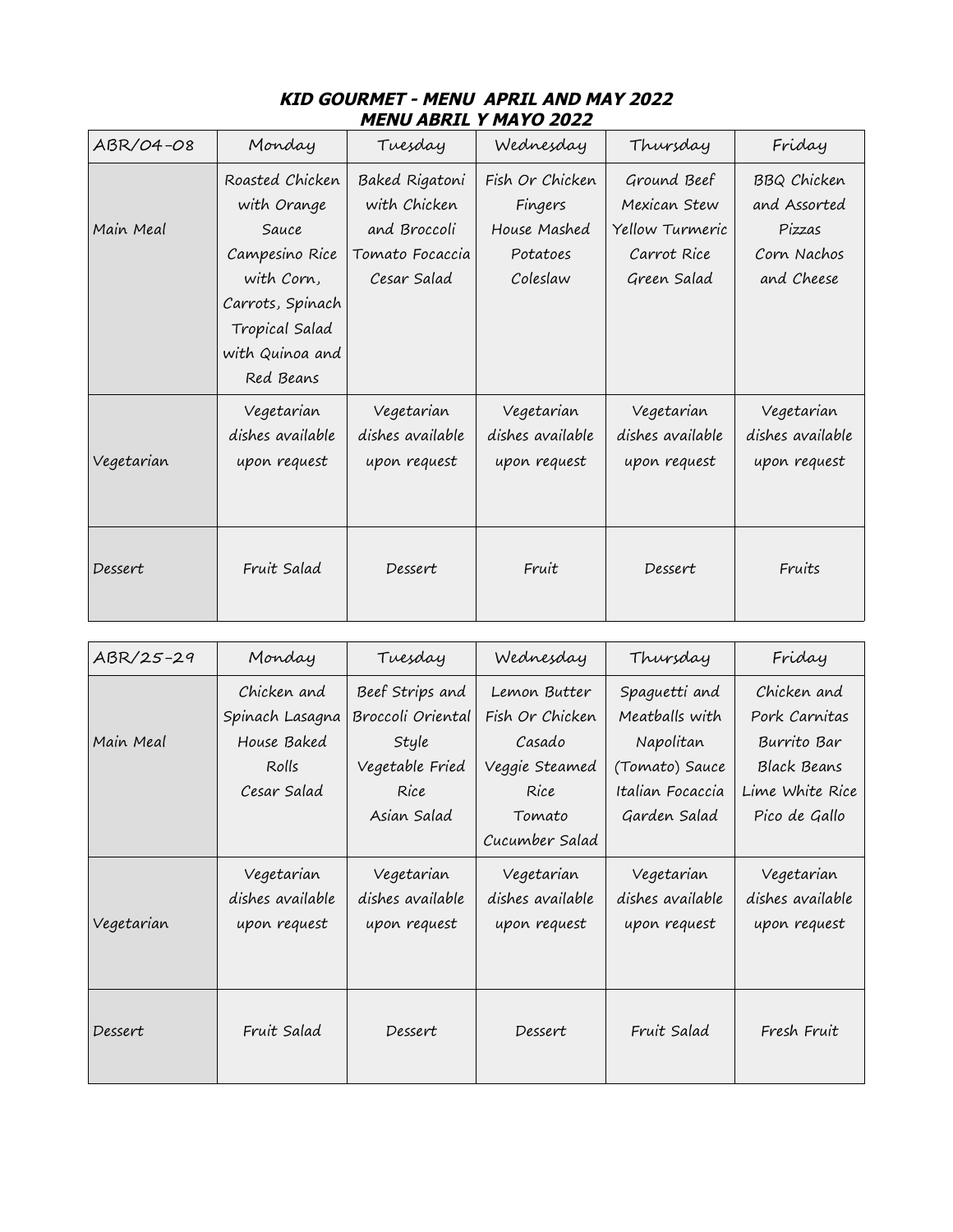| IU ADIWE I I'IAI U ŁUŁŁ |                                                                                                                                               |                                                                                  |                                                                    |                                                                              |                                                                           |  |  |  |
|-------------------------|-----------------------------------------------------------------------------------------------------------------------------------------------|----------------------------------------------------------------------------------|--------------------------------------------------------------------|------------------------------------------------------------------------------|---------------------------------------------------------------------------|--|--|--|
| ABR/04-08               | Monday                                                                                                                                        | Tuesday                                                                          | Wednesday                                                          | Thursday                                                                     | Friday                                                                    |  |  |  |
| Main Meal               | Roasted Chicken<br>with Orange<br>Sauce<br>Campesino Rice<br>with Corn,<br>Carrots, Spinach<br>Tropical Salad<br>with Quinoa and<br>Red Beans | Baked Rigatoni<br>with Chicken<br>and Broccoli<br>Tomato Focaccia<br>Cesar Salad | Fish Or Chicken<br>Fingers<br>House Mashed<br>Potatoes<br>Coleslaw | Ground Beef<br>Mexican Stew<br>Yellow Turmeric<br>Carrot Rice<br>Green Salad | <b>BBQ Chicken</b><br>and Assorted<br>Pizzas<br>Corn Nachos<br>and Cheese |  |  |  |
| Vegetarian              | Vegetarian<br>dishes available<br>upon request                                                                                                | Vegetarian<br>dishes available<br>upon request                                   | Vegetarian<br>dishes available<br>upon request                     | Vegetarian<br>dishes available<br>upon request                               | Vegetarian<br>dishes available<br>upon request                            |  |  |  |
| Dessert                 | Fruit Salad                                                                                                                                   | Dessert                                                                          | Fruit                                                              | Dessert                                                                      | Fruits                                                                    |  |  |  |

## **KID GOURMET - MENU APRIL AND MAY 2022 MENU ABRIL Y MAYO 2022**

| ABR/25-29  | Monday           | Tuesday           | Wednesday        | Thursday         | Friday             |  |
|------------|------------------|-------------------|------------------|------------------|--------------------|--|
|            | Chicken and      | Beef Strips and   | Lemon Butter     | Spaguetti and    | Chicken and        |  |
|            | Spinach Lasagna  | Broccoli Oriental | Fish Or Chicken  | Meatballs with   | Pork Carnitas      |  |
| Main Meal  | House Baked      | Style             | Casado           | Napolitan        | Burrito Bar        |  |
|            | Rolls            | Vegetable Fried   | Veggie Steamed   | (Tomato) Sauce   | <b>Black Beans</b> |  |
|            | Cesar Salad      | Rice              | Rice             | Italian Focaccia | Lime White Rice    |  |
|            |                  | Asian Salad       | Tomato           | Garden Salad     | Pico de Gallo      |  |
|            |                  |                   | Cucumber Salad   |                  |                    |  |
|            | Vegetarian       | Vegetarian        | Vegetarian       | Vegetarian       | Vegetarian         |  |
|            | dishes available | dishes available  | dishes available | dishes available | dishes available   |  |
| Vegetarian | upon request     | upon request      | upon request     | upon request     | upon request       |  |
|            |                  |                   |                  |                  |                    |  |
|            |                  |                   |                  |                  |                    |  |
|            |                  |                   |                  |                  |                    |  |
| Dessert    | Fruit Salad      | Dessert           | Dessert          | Fruit Salad      | Fresh Fruit        |  |
|            |                  |                   |                  |                  |                    |  |
|            |                  |                   |                  |                  |                    |  |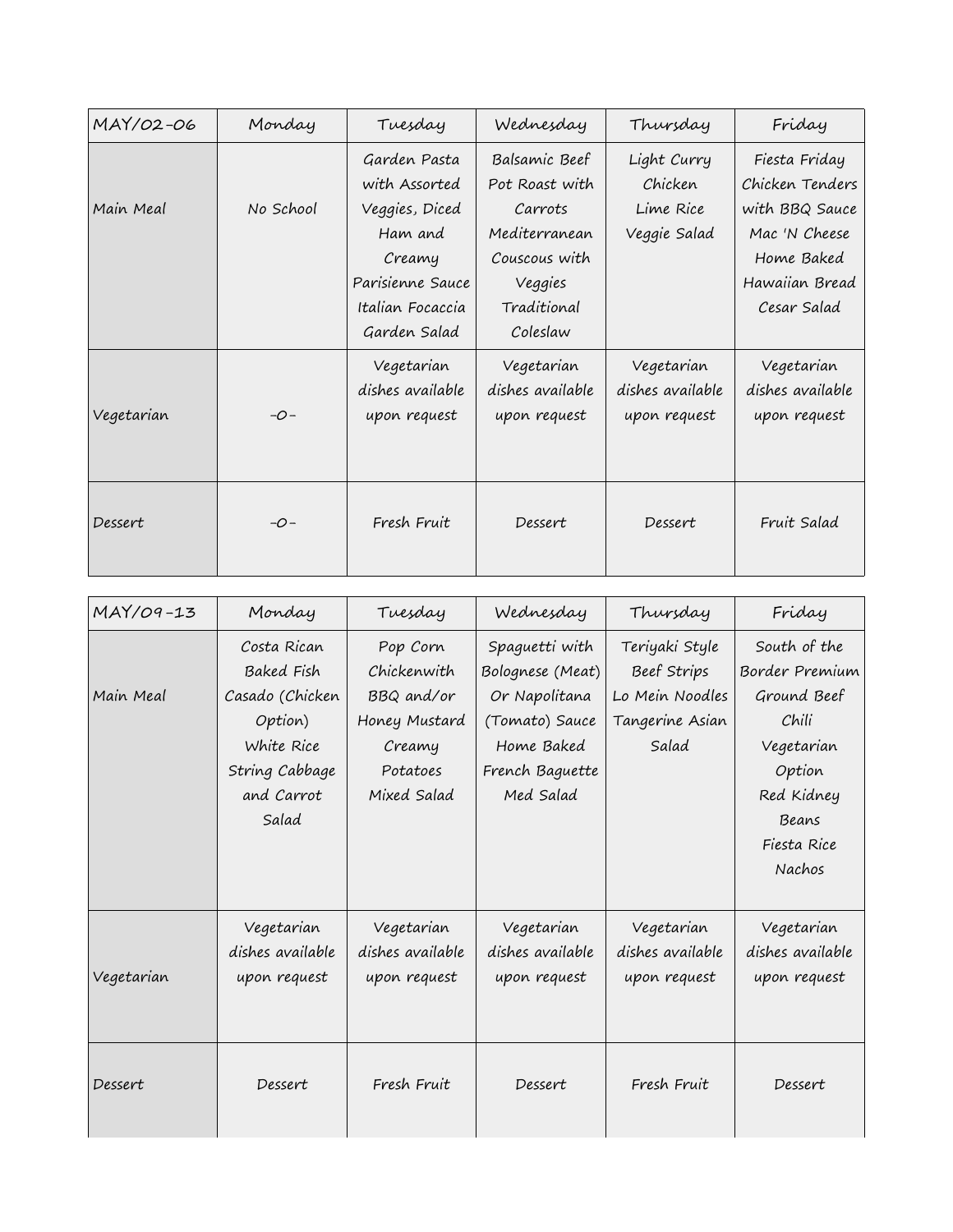| MAY/02-06  | Monday    | Tuesday                                                                                                                      | Wednesday                                                                                                          | Thursday                                            | Friday                                                                                                             |
|------------|-----------|------------------------------------------------------------------------------------------------------------------------------|--------------------------------------------------------------------------------------------------------------------|-----------------------------------------------------|--------------------------------------------------------------------------------------------------------------------|
| Main Meal  | No School | Garden Pasta<br>with Assorted<br>Veggies, Diced<br>Ham and<br>Creamy<br>Parisienne Sauce<br>Italian Focaccia<br>Garden Salad | Balsamic Beef<br>Pot Roast with<br>Carrots<br>Mediterranean<br>Couscous with<br>Veggies<br>Traditional<br>Coleslaw | Light Curry<br>Chicken<br>Lime Rice<br>Veggie Salad | Fiesta Friday<br>Chicken Tenders<br>with BBQ Sauce<br>Mac 'N Cheese<br>Home Baked<br>Hawaiian Bread<br>Cesar Salad |
| Vegetarian | $-0-$     | Vegetarian<br>dishes available<br>upon request                                                                               | Vegetarian<br>dishes available<br>upon request                                                                     | Vegetarian<br>dishes available<br>upon request      | Vegetarian<br>dishes available<br>upon request                                                                     |
| Dessert    | $-O-$     | Fresh Fruit                                                                                                                  | Dessert                                                                                                            | Dessert                                             | Fruit Salad                                                                                                        |

| MAY/09-13  | Monday                                                                                                                | Tuesday                                                                                     | Wednesday                                                                                                           | Thursday                                                                     | Friday                                                                                                                                |
|------------|-----------------------------------------------------------------------------------------------------------------------|---------------------------------------------------------------------------------------------|---------------------------------------------------------------------------------------------------------------------|------------------------------------------------------------------------------|---------------------------------------------------------------------------------------------------------------------------------------|
| Main Meal  | Costa Rican<br><b>Baked Fish</b><br>Casado (Chicken<br>Option)<br>White Rice<br>String Cabbage<br>and Carrot<br>Salad | Pop Corn<br>Chickenwith<br>BBQ and/or<br>Honey Mustard<br>Creamy<br>Potatoes<br>Mixed Salad | Spaguetti with<br>Bolognese (Meat)<br>Or Napolitana<br>(Tomato) Sauce<br>Home Baked<br>French Baguette<br>Med Salad | Teriyaki Style<br>Beef Strips<br>Lo Mein Noodles<br>Tangerine Asian<br>Salad | South of the<br>Border Premium<br>Ground Beef<br>Chili<br>Vegetarian<br>Option<br>Red Kidney<br>Beans<br>Fiesta Rice<br><b>Nachos</b> |
| Vegetarian | Vegetarian<br>dishes available<br>upon request                                                                        | Vegetarian<br>dishes available<br>upon request                                              | Vegetarian<br>dishes available<br>upon request                                                                      | Vegetarian<br>dishes available<br>upon request                               | Vegetarian<br>dishes available<br>upon request                                                                                        |
| Dessert    | Dessert                                                                                                               | Fresh Fruit                                                                                 | Dessert                                                                                                             | Fresh Fruit                                                                  | Dessert                                                                                                                               |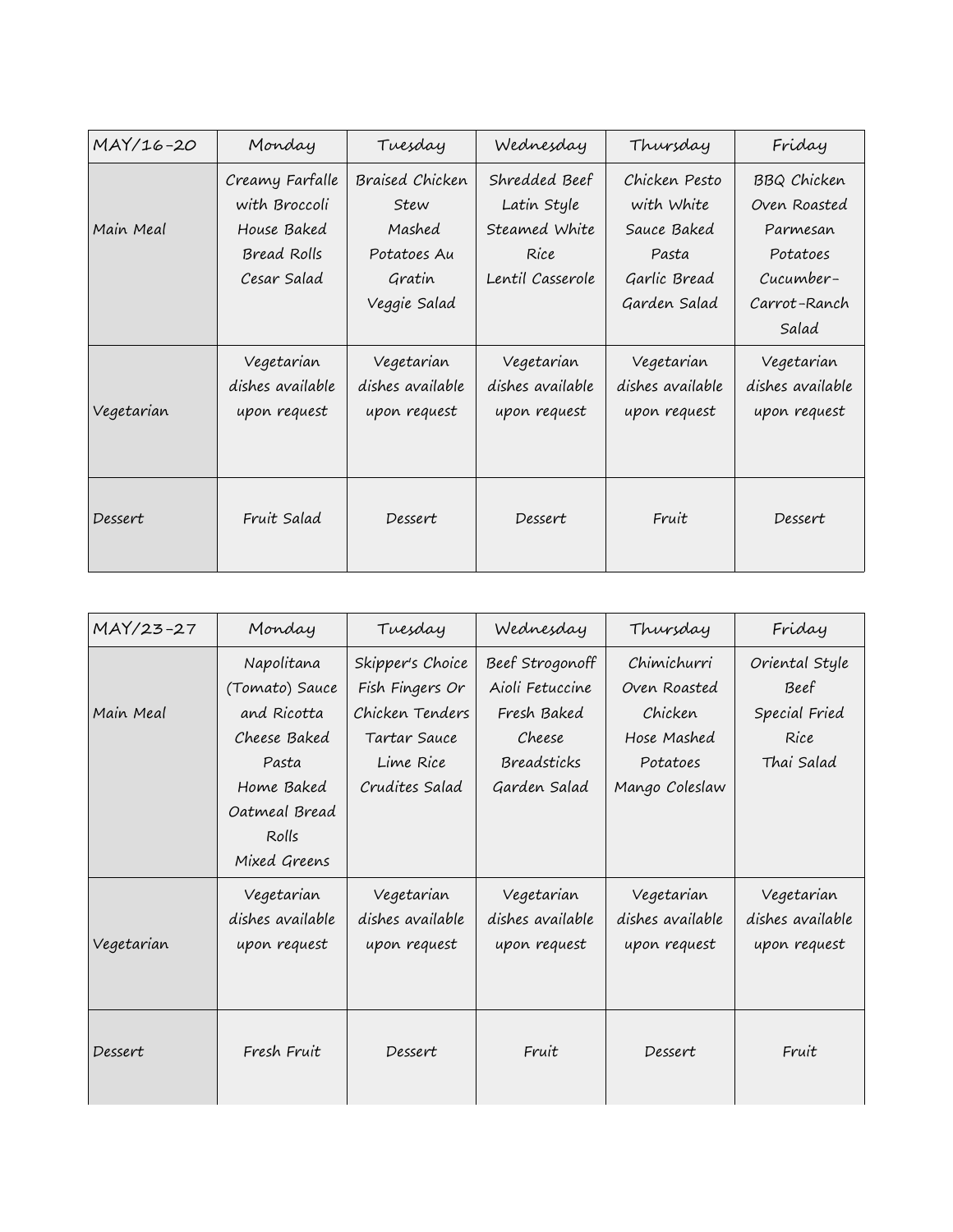| MAY/16-20  | Monday           | Tuesday          | Wednesday        | Thursday         |                    |
|------------|------------------|------------------|------------------|------------------|--------------------|
|            | Creamy Farfalle  | Braised Chicken  | Shredded Beef    | Chicken Pesto    | <b>BBQ Chicken</b> |
|            | with Broccoli    | Stew             | Latin Style      | with White       | Oven Roasted       |
| Main Meal  | House Baked      | Mashed           | Steamed White    | Sauce Baked      | Parmesan           |
|            | Bread Rolls      | Potatoes Au      | Rice             | Pasta            | Potatoes           |
|            | Cesar Salad      | Gratin           | Lentil Casserole | Garlic Bread     | Cucumber-          |
|            |                  | Veggie Salad     |                  | Garden Salad     | Carrot-Ranch       |
|            |                  |                  |                  |                  | Salad              |
|            | Vegetarian       | Vegetarian       | Vegetarian       | Vegetarian       | Vegetarian         |
|            | dishes available | dishes available | dishes available | dishes available | dishes available   |
| Vegetarian | upon request     | upon request     | upon request     | upon request     | upon request       |
|            |                  |                  |                  |                  |                    |
|            |                  |                  |                  |                  |                    |
|            |                  |                  |                  |                  |                    |
| Dessert    | Fruit Salad      | Dessert          | Dessert          | Fruit            | Dessert            |
|            |                  |                  |                  |                  |                    |

| MAY/23-27  | Monday                                                                                                                       | Tuesday                                                                                               | Wednesday                                                                                  | Thursday                                                                            | Friday                                                        |  |
|------------|------------------------------------------------------------------------------------------------------------------------------|-------------------------------------------------------------------------------------------------------|--------------------------------------------------------------------------------------------|-------------------------------------------------------------------------------------|---------------------------------------------------------------|--|
| Main Meal  | Napolitana<br>(Tomato) Sauce<br>and Ricotta<br>Cheese Baked<br>Pasta<br>Home Baked<br>Oatmeal Bread<br>Rolls<br>Mixed Greens | Skipper's Choice<br>Fish Fingers Or<br>Chicken Tenders<br>Tartar Sauce<br>Lime Rice<br>Crudites Salad | Beef Strogonoff<br>Aioli Fetuccine<br>Fresh Baked<br>Cheese<br>Breadsticks<br>Garden Salad | Chimichurri<br>Oven Roasted<br>Chicken<br>Hose Mashed<br>Potatoes<br>Mango Coleslaw | Oriental Style<br>Beef<br>Special Fried<br>Rice<br>Thai Salad |  |
| Vegetarian | Vegetarian<br>dishes available<br>upon request                                                                               | Vegetarian<br>dishes available<br>upon request                                                        | Vegetarian<br>dishes available<br>upon request                                             | Vegetarian<br>dishes available<br>upon request                                      | Vegetarian<br>dishes available<br>upon request                |  |
| Dessert    | Fresh Fruit                                                                                                                  | Dessert                                                                                               | Fruit                                                                                      | Dessert                                                                             | Fruit                                                         |  |